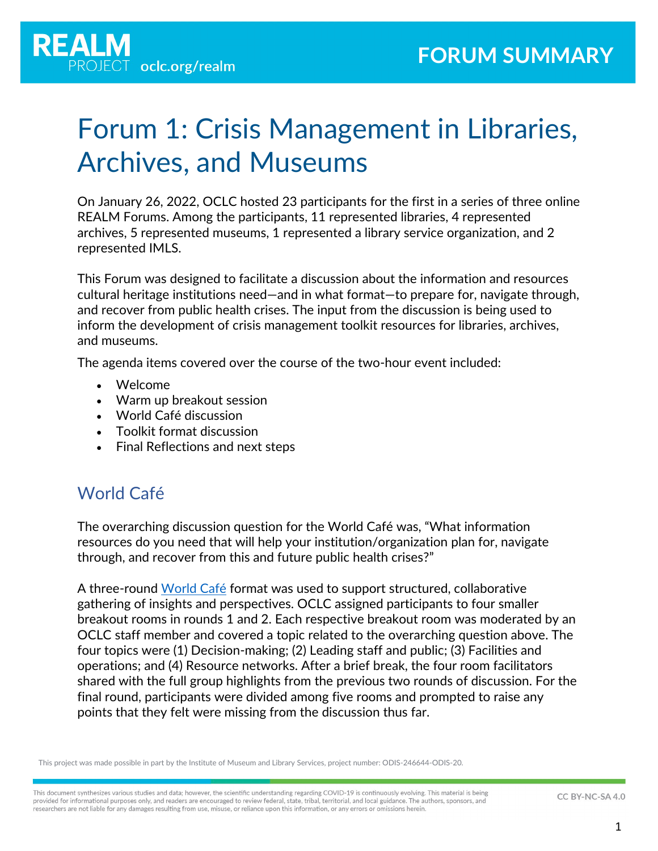

# Forum 1: Crisis Management in Libraries, Archives, and Museums

On January 26, 2022, OCLC hosted 23 participants for the first in a series of three online REALM Forums. Among the participants, 11 represented libraries, 4 represented archives, 5 represented museums, 1 represented a library service organization, and 2 represented IMLS.

This Forum was designed to facilitate a discussion about the information and resources cultural heritage institutions need—and in what format—to prepare for, navigate through, and recover from public health crises. The input from the discussion is being used to inform the development of crisis management toolkit resources for libraries, archives, and museums.

The agenda items covered over the course of the two-hour event included:

- Welcome
- Warm up breakout session
- World Café discussion
- Toolkit format discussion
- Final Reflections and next steps

### World Café

The overarching discussion question for the World Café was, "What information resources do you need that will help your institution/organization plan for, navigate through, and recover from this and future public health crises?"

A three-round [World Café](https://en.wikipedia.org/wiki/World_caf%C3%A9_(conversation)) format was used to support structured, collaborative gathering of insights and perspectives. OCLC assigned participants to four smaller breakout rooms in rounds 1 and 2. Each respective breakout room was moderated by an OCLC staff member and covered a topic related to the overarching question above. The four topics were (1) Decision-making; (2) Leading staff and public; (3) Facilities and operations; and (4) Resource networks. After a brief break, the four room facilitators shared with the full group highlights from the previous two rounds of discussion. For the final round, participants were divided among five rooms and prompted to raise any points that they felt were missing from the discussion thus far.

This project was made possible in part by the Institute of Museum and Library Services, project number: ODIS-246644-ODIS-20.

This document synthesizes various studies and data; however, the scientific understanding regarding COVID-19 is continuously evolving. This material is being provided for informational purposes only, and readers are encouraged to review federal, state, tribal, territorial, and local guidance. The authors, sponsors, and researchers are not liable for any damages resulting from use, misuse, or reliance upon this information, or any errors or omissions herein.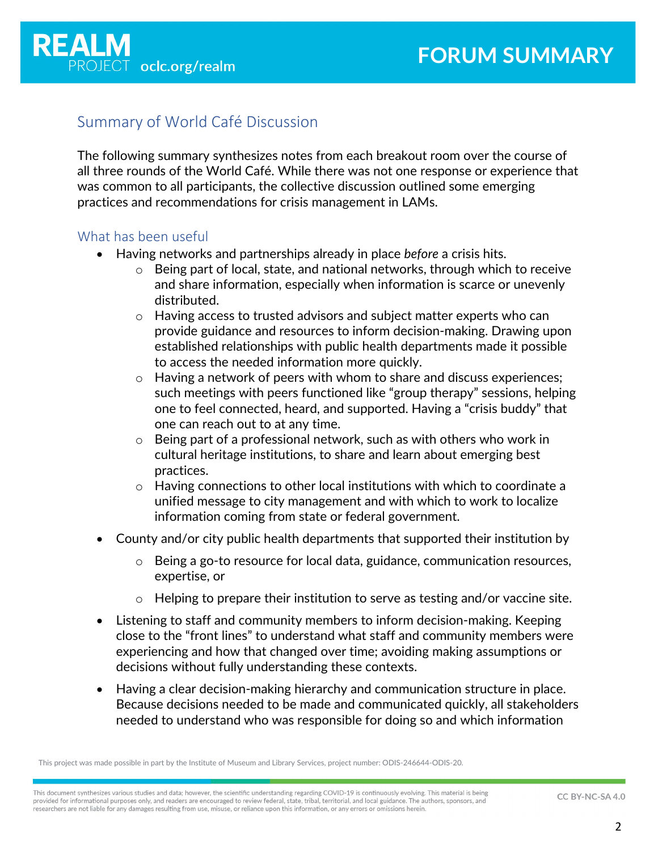

### Summary of World Café Discussion

The following summary synthesizes notes from each breakout room over the course of all three rounds of the World Café. While there was not one response or experience that was common to all participants, the collective discussion outlined some emerging practices and recommendations for crisis management in LAMs.

#### What has been useful

- Having networks and partnerships already in place *before* a crisis hits.
	- $\circ$  Being part of local, state, and national networks, through which to receive and share information, especially when information is scarce or unevenly distributed.
	- $\circ$  Having access to trusted advisors and subject matter experts who can provide guidance and resources to inform decision-making. Drawing upon established relationships with public health departments made it possible to access the needed information more quickly.
	- $\circ$  Having a network of peers with whom to share and discuss experiences; such meetings with peers functioned like "group therapy" sessions, helping one to feel connected, heard, and supported. Having a "crisis buddy" that one can reach out to at any time.
	- o Being part of a professional network, such as with others who work in cultural heritage institutions, to share and learn about emerging best practices.
	- o Having connections to other local institutions with which to coordinate a unified message to city management and with which to work to localize information coming from state or federal government.
- County and/or city public health departments that supported their institution by
	- o Being a go-to resource for local data, guidance, communication resources, expertise, or
	- Helping to prepare their institution to serve as testing and/or vaccine site.
- Listening to staff and community members to inform decision-making. Keeping close to the "front lines" to understand what staff and community members were experiencing and how that changed over time; avoiding making assumptions or decisions without fully understanding these contexts.
- Having a clear decision-making hierarchy and communication structure in place. Because decisions needed to be made and communicated quickly, all stakeholders needed to understand who was responsible for doing so and which information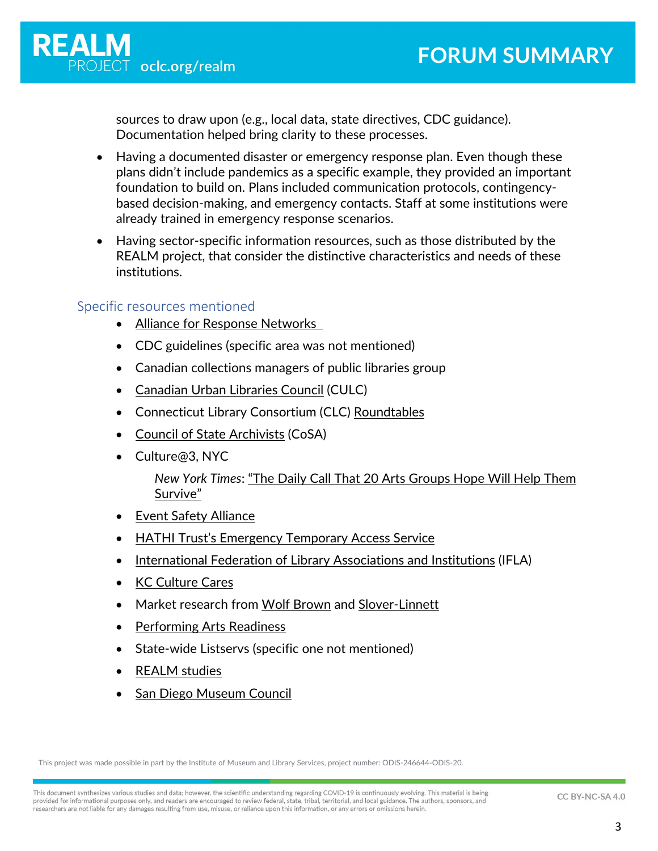sources to draw upon (e.g., local data, state directives, CDC guidance). Documentation helped bring clarity to these processes.

- Having a documented disaster or emergency response plan. Even though these plans didn't include pandemics as a specific example, they provided an important foundation to build on. Plans included communication protocols, contingencybased decision-making, and emergency contacts. Staff at some institutions were already trained in emergency response scenarios.
- Having sector-specific information resources, such as those distributed by the REALM project, that consider the distinctive characteristics and needs of these institutions.

#### Specific resources mentioned

- [Alliance for Response Networks](https://www.culturalheritage.org/resources/emergencies/alliance-for-response/networks)
- CDC guidelines (specific area was not mentioned)
- Canadian collections managers of public libraries group
- [Canadian Urban Libraries Council](https://culc.ca/) (CULC)
- Connecticut Library Consortium (CLC) [Roundtables](https://www.ctlibrarians.org/page/roundtables)
- [Council of State Archivists](https://www.statearchivists.org/home) (CoSA)
- Culture@3, NYC

*New York Times*: ["The Daily Call That 20 Arts Groups Hope Will Help Them](https://www.nytimes.com/2020/05/12/arts/coronavirus-new-york-culture.html)  [Survive"](https://www.nytimes.com/2020/05/12/arts/coronavirus-new-york-culture.html)

- [Event Safety Alliance](https://www.eventsafetyalliance.org/)
- [HATHI Trust's Emergency Temporary Access Service](https://www.hathitrust.org/ETAS-Description)
- [International Federation of Library Associations and Institutions](https://www.ifla.org/) (IFLA)
- [KC Culture Cares](https://kcculturecares.org/)
- Market research from [Wolf Brown](https://www.wolfbrown.com/) and [Slover-Linnett](https://sloverlinett.com/)
- [Performing Arts Readiness](https://performingartsreadiness.org/)
- State-wide Listservs (specific one not mentioned)
- [REALM studies](https://www.oclc.org/realm/home.html)
- **[San Diego Museum Council](https://sandiegomuseumcouncil.org/)**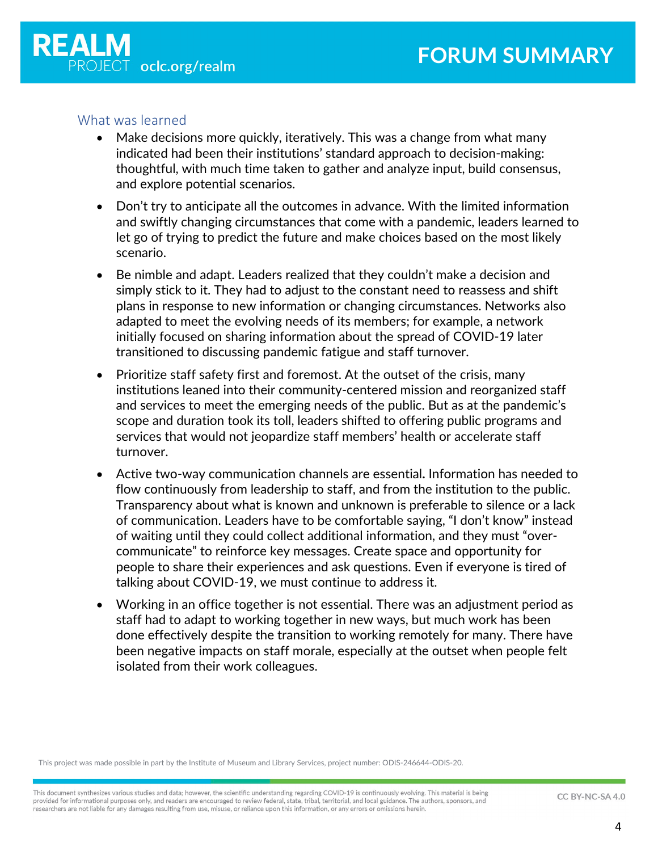

#### What was learned

- Make decisions more quickly, iteratively. This was a change from what many indicated had been their institutions' standard approach to decision-making: thoughtful, with much time taken to gather and analyze input, build consensus, and explore potential scenarios.
- Don't try to anticipate all the outcomes in advance. With the limited information and swiftly changing circumstances that come with a pandemic, leaders learned to let go of trying to predict the future and make choices based on the most likely scenario.
- Be nimble and adapt. Leaders realized that they couldn't make a decision and simply stick to it. They had to adjust to the constant need to reassess and shift plans in response to new information or changing circumstances. Networks also adapted to meet the evolving needs of its members; for example, a network initially focused on sharing information about the spread of COVID-19 later transitioned to discussing pandemic fatigue and staff turnover.
- Prioritize staff safety first and foremost. At the outset of the crisis, many institutions leaned into their community-centered mission and reorganized staff and services to meet the emerging needs of the public. But as at the pandemic's scope and duration took its toll, leaders shifted to offering public programs and services that would not jeopardize staff members' health or accelerate staff turnover.
- Active two-way communication channels are essential**.** Information has needed to flow continuously from leadership to staff, and from the institution to the public. Transparency about what is known and unknown is preferable to silence or a lack of communication. Leaders have to be comfortable saying, "I don't know" instead of waiting until they could collect additional information, and they must "overcommunicate" to reinforce key messages. Create space and opportunity for people to share their experiences and ask questions. Even if everyone is tired of talking about COVID-19, we must continue to address it.
- Working in an office together is not essential. There was an adjustment period as staff had to adapt to working together in new ways, but much work has been done effectively despite the transition to working remotely for many. There have been negative impacts on staff morale, especially at the outset when people felt isolated from their work colleagues.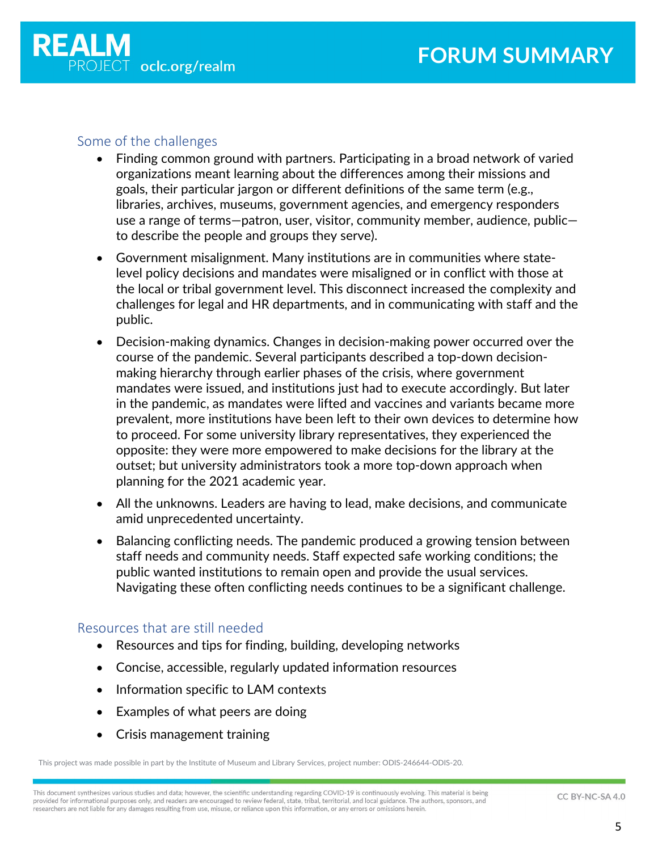

### Some of the challenges

- Finding common ground with partners. Participating in a broad network of varied organizations meant learning about the differences among their missions and goals, their particular jargon or different definitions of the same term (e.g., libraries, archives, museums, government agencies, and emergency responders use a range of terms—patron, user, visitor, community member, audience, public to describe the people and groups they serve).
- Government misalignment. Many institutions are in communities where statelevel policy decisions and mandates were misaligned or in conflict with those at the local or tribal government level. This disconnect increased the complexity and challenges for legal and HR departments, and in communicating with staff and the public.
- Decision-making dynamics. Changes in decision-making power occurred over the course of the pandemic. Several participants described a top-down decisionmaking hierarchy through earlier phases of the crisis, where government mandates were issued, and institutions just had to execute accordingly. But later in the pandemic, as mandates were lifted and vaccines and variants became more prevalent, more institutions have been left to their own devices to determine how to proceed. For some university library representatives, they experienced the opposite: they were more empowered to make decisions for the library at the outset; but university administrators took a more top-down approach when planning for the 2021 academic year.
- All the unknowns. Leaders are having to lead, make decisions, and communicate amid unprecedented uncertainty.
- Balancing conflicting needs. The pandemic produced a growing tension between staff needs and community needs. Staff expected safe working conditions; the public wanted institutions to remain open and provide the usual services. Navigating these often conflicting needs continues to be a significant challenge.

### Resources that are still needed

- Resources and tips for finding, building, developing networks
- Concise, accessible, regularly updated information resources
- Information specific to LAM contexts
- Examples of what peers are doing
- Crisis management training

This project was made possible in part by the Institute of Museum and Library Services, project number: ODIS-246644-ODIS-20.

This document synthesizes various studies and data; however, the scientific understanding regarding COVID-19 is continuously evolving. This material is being provided for informational purposes only, and readers are encouraged to review federal, state, tribal, territorial, and local guidance. The authors, sponsors, and researchers are not liable for any damages resulting from use, misuse, or reliance upon this information, or any errors or omissions herein.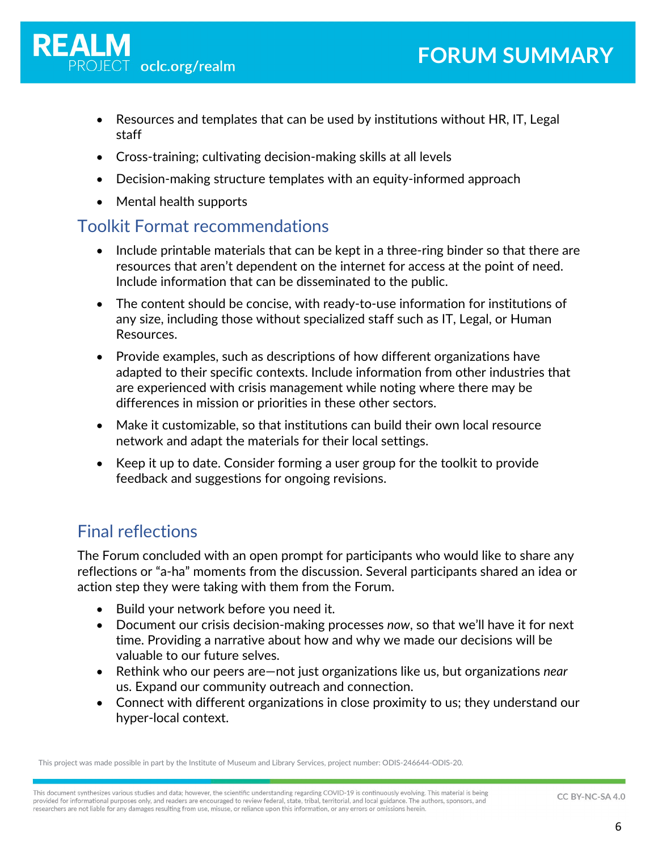- Resources and templates that can be used by institutions without HR, IT, Legal staff
- Cross-training; cultivating decision-making skills at all levels
- Decision-making structure templates with an equity-informed approach
- Mental health supports

### Toolkit Format recommendations

- Include printable materials that can be kept in a three-ring binder so that there are resources that aren't dependent on the internet for access at the point of need. Include information that can be disseminated to the public.
- The content should be concise, with ready-to-use information for institutions of any size, including those without specialized staff such as IT, Legal, or Human Resources.
- Provide examples, such as descriptions of how different organizations have adapted to their specific contexts. Include information from other industries that are experienced with crisis management while noting where there may be differences in mission or priorities in these other sectors.
- Make it customizable, so that institutions can build their own local resource network and adapt the materials for their local settings.
- Keep it up to date. Consider forming a user group for the toolkit to provide feedback and suggestions for ongoing revisions.

## Final reflections

The Forum concluded with an open prompt for participants who would like to share any reflections or "a-ha" moments from the discussion. Several participants shared an idea or action step they were taking with them from the Forum.

- Build your network before you need it.
- Document our crisis decision-making processes *now*, so that we'll have it for next time. Providing a narrative about how and why we made our decisions will be valuable to our future selves.
- Rethink who our peers are—not just organizations like us, but organizations *near* us. Expand our community outreach and connection.
- Connect with different organizations in close proximity to us; they understand our hyper-local context.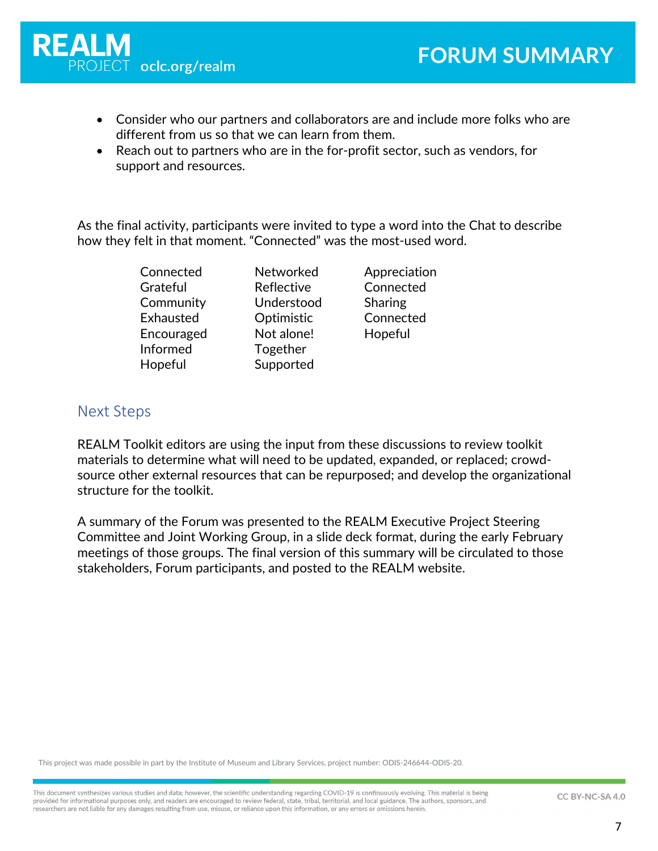

- Consider who our partners and collaborators are and include more folks who are different from us so that we can learn from them.
- Reach out to partners who are in the for-profit sector, such as vendors, for support and resources.

As the final activity, participants were invited to type a word into the Chat to describe how they felt in that moment. "Connected" was the most-used word.

| Connected  | Networked  | Appreciation |
|------------|------------|--------------|
| Grateful   | Reflective | Connected    |
| Community  | Understood | Sharing      |
| Exhausted  | Optimistic | Connected    |
| Encouraged | Not alone! | Hopeful      |
| Informed   | Together   |              |
| Hopeful    | Supported  |              |

### Next Steps

REALM Toolkit editors are using the input from these discussions to review toolkit materials to determine what will need to be updated, expanded, or replaced; crowdsource other external resources that can be repurposed; and develop the organizational structure for the toolkit.

A summary of the Forum was presented to the REALM Executive Project Steering Committee and Joint Working Group, in a slide deck format, during the early February meetings of those groups. The final version of this summary will be circulated to those stakeholders, Forum participants, and posted to the REALM website.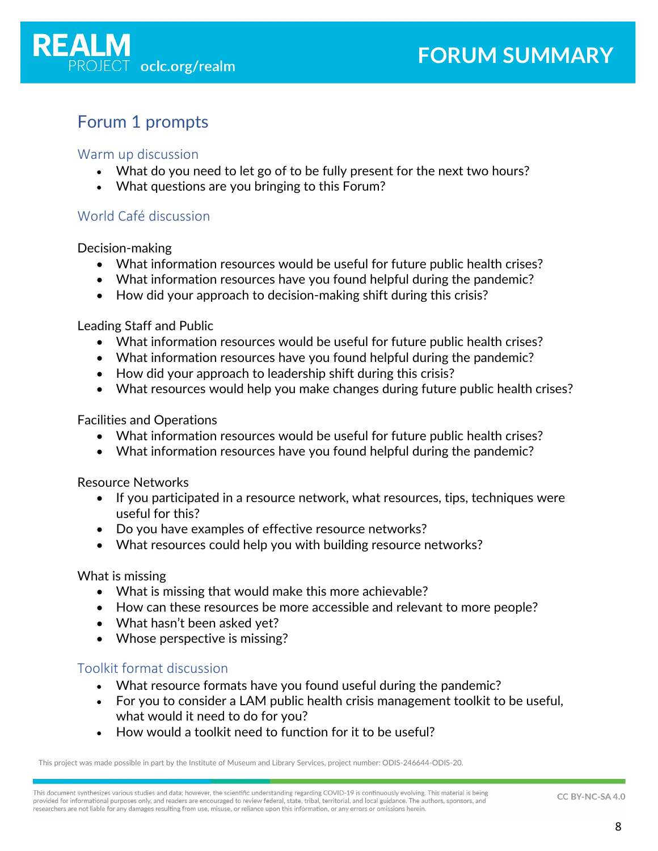

### Forum 1 prompts

### Warm up discussion

- What do you need to let go of to be fully present for the next two hours?
- What questions are you bringing to this Forum?

### World Café discussion

Decision-making

- What information resources would be useful for future public health crises?
- What information resources have you found helpful during the pandemic?
- How did your approach to decision-making shift during this crisis?

Leading Staff and Public

- What information resources would be useful for future public health crises?
- What information resources have you found helpful during the pandemic?
- How did your approach to leadership shift during this crisis?
- What resources would help you make changes during future public health crises?

Facilities and Operations

- What information resources would be useful for future public health crises?
- What information resources have you found helpful during the pandemic?

Resource Networks

- If you participated in a resource network, what resources, tips, techniques were useful for this?
- Do you have examples of effective resource networks?
- What resources could help you with building resource networks?

What is missing

- What is missing that would make this more achievable?
- How can these resources be more accessible and relevant to more people?
- What hasn't been asked yet?
- Whose perspective is missing?

### Toolkit format discussion

- What resource formats have you found useful during the pandemic?
- For you to consider a LAM public health crisis management toolkit to be useful, what would it need to do for you?
- How would a toolkit need to function for it to be useful?